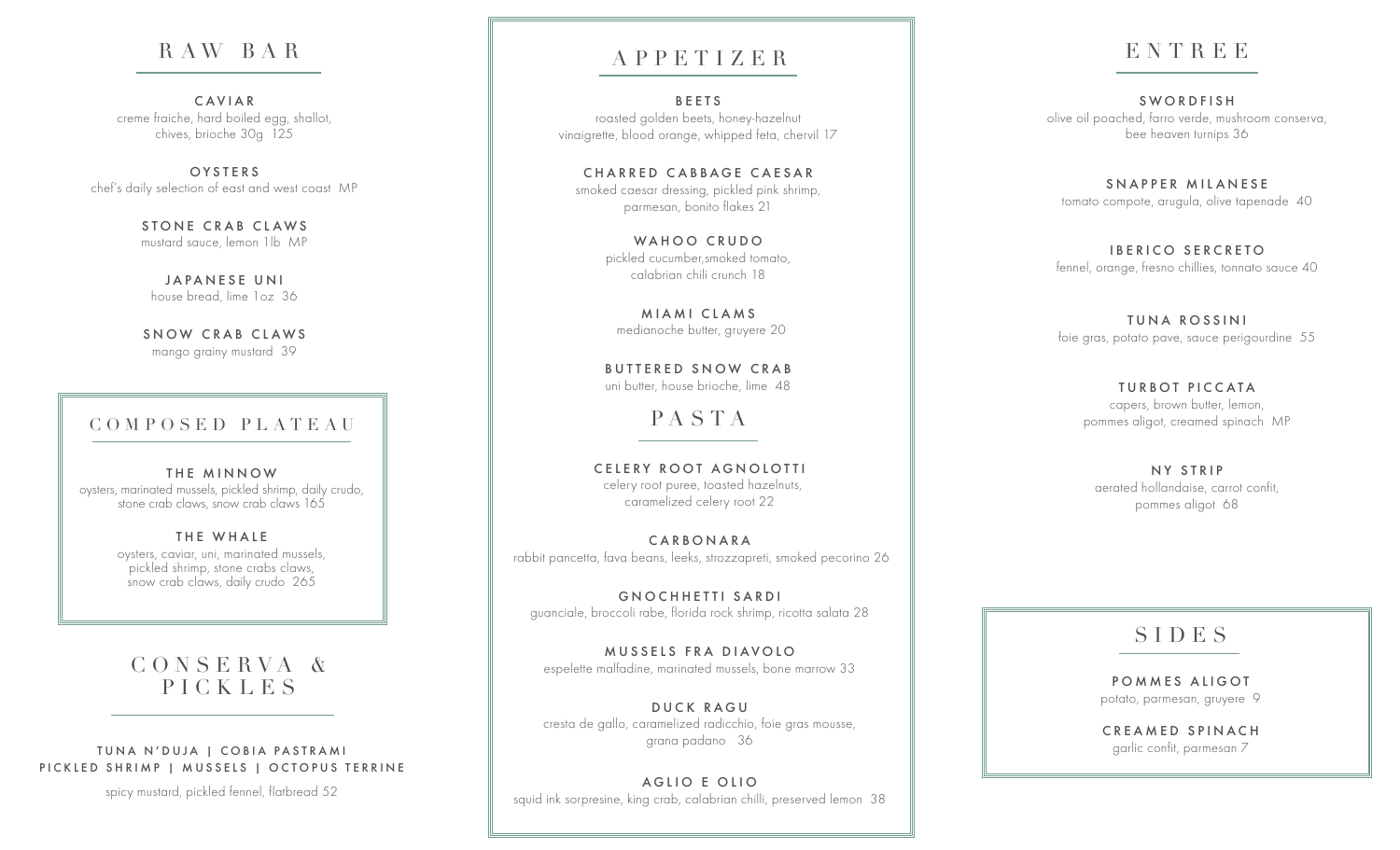## R AW BA R

CAVIAR creme fraiche, hard boiled egg, shallot, chives, brioche 30g 125

O Y S T E R S chef's daily selection of east and west coast MP

> STONE CRAB CLAWS mustard sauce, lemon 1lb MP

JAPANESE UNI house bread, lime 1oz 36

SNOW CRAB CLAWS mango grainy mustard 39

### COMPOSED PLATEAU

THE MINNOW oysters, marinated mussels, pickled shrimp, daily crudo, stone crab claws, snow crab claws 165

> THE WHALE oysters, caviar, uni, marinated mussels, pickled shrimp, stone crabs claws, snow crab claws, daily crudo 265

## C O N S E R V A & PICKLES

#### TUNA N'DUJA | COBIA PASTRAMI PICKLED SHRIMP | MUSSELS | OCTOPUS TERRINE

spicy mustard, pickled fennel, flatbread 52

## APPETIZER

**BEETS** roasted golden beets, honey-hazelnut vinaigrette, blood orange, whipped feta, chervil 17

CHARRED CABBAGE CAESAR smoked caesar dressing, pickled pink shrimp, parmesan, bonito flakes 21

> WAHOO CRUDO pickled cucumber,smoked tomato, calabrian chili crunch 18

MIAMI CLAMS medianoche butter, gruyere 20

BUTTERED SNOW CRAB uni butter, house brioche, lime 48

PASTA

CELERY ROOT AGNOLOTTI celery root puree, toasted hazelnuts, caramelized celery root 22

CARBONARA rabbit pancetta, fava beans, leeks, strozzapreti, smoked pecorino 26

GNOCHHETTI SARDI guanciale, broccoli rabe, florida rock shrimp, ricotta salata 28

MUSSELS FRA DIAVOIO espelette malfadine, marinated mussels, bone marrow 33

DUCK RAGU cresta de gallo, caramelized radicchio, foie gras mousse, grana padano 36

AGLIO E OLIO squid ink sorpresine, king crab, calabrian chilli, preserved lemon 38

# ENTREE

SWORDFISH olive oil poached, farro verde, mushroom conserva, bee heaven turnips 36

SNAPPER MILANESE tomato compote, arugula, olive tapenade 40

IBERICO SERCRETO fennel, orange, fresno chillies, tonnato sauce 40

TUNA ROSSINI foie gras, potato pave, sauce perigourdine 55

> **TURBOT PICCATA** capers, brown butter, lemon, pommes aligot, creamed spinach MP

NY STRIP aerated hollandaise, carrot confit, pommes aligot 68

## SIDES

POMMES ALIGOT potato, parmesan, gruyere 9

CREAMED SPINACH garlic confit, parmesan 7